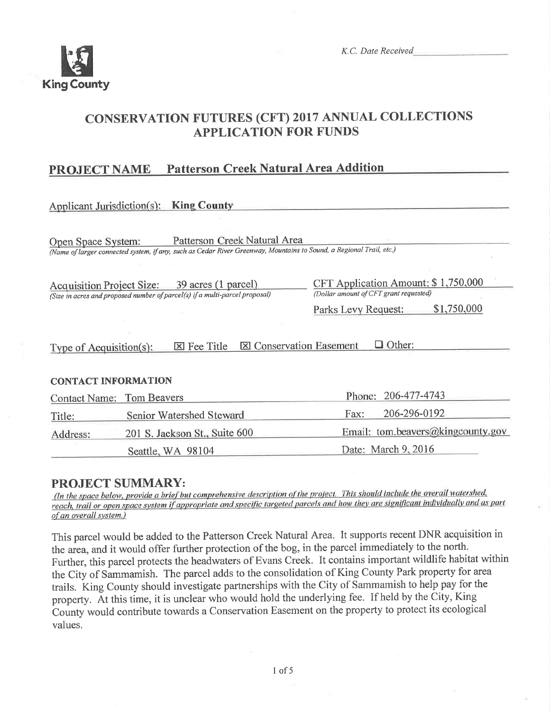

K.C. Date Received

Date: March 9, 2016

## **CONSERVATION FUTURES (CFT) 2017 ANNUAL COLLECTIONS APPLICATION FOR FUNDS**

#### **Patterson Creek Natural Area Addition PROJECT NAME**

| Applicant Jurisdiction(s): King County                                                                                                                                    |                               |                                                                               |  |  |  |  |
|---------------------------------------------------------------------------------------------------------------------------------------------------------------------------|-------------------------------|-------------------------------------------------------------------------------|--|--|--|--|
| Patterson Creek Natural Area<br>Open Space System:<br>(Name of larger connected system, if any, such as Cedar River Greenway, Mountains to Sound, a Regional Trail, etc.) |                               |                                                                               |  |  |  |  |
| Acquisition Project Size: 39 acres (1 parcel)<br>(Size in acres and proposed number of parcel(s) if a multi-parcel proposal)                                              |                               | CFT Application Amount: \$1,750,000<br>(Dollar amount of CFT grant requested) |  |  |  |  |
|                                                                                                                                                                           |                               | \$1,750,000<br>Parks Levy Request:                                            |  |  |  |  |
| Other:<br><b>X</b> Conservation Easement<br>$\boxtimes$ Fee Title<br>Type of Acquisition(s):                                                                              |                               |                                                                               |  |  |  |  |
| <b>CONTACT INFORMATION</b>                                                                                                                                                |                               |                                                                               |  |  |  |  |
| <b>Contact Name: Tom Beavers</b>                                                                                                                                          |                               | 206-477-4743<br>Phone:                                                        |  |  |  |  |
| Title:                                                                                                                                                                    | Senior Watershed Steward      | 206-296-0192<br>Fax:                                                          |  |  |  |  |
| Address:                                                                                                                                                                  | 201 S. Jackson St., Suite 600 | Email: tom.beavers@kingcounty.gov                                             |  |  |  |  |

### **PROJECT SUMMARY:**

Seattle, WA 98104

(In the space below, provide a brief but comprehensive description of the project. This should include the overall watershed, reach, trail or open space system if appropriate and specific targeted parcels and how they are significant individually and as part of an overall system.)

This parcel would be added to the Patterson Creek Natural Area. It supports recent DNR acquisition in the area, and it would offer further protection of the bog, in the parcel immediately to the north. Further, this parcel protects the headwaters of Evans Creek. It contains important wildlife habitat within the City of Sammamish. The parcel adds to the consolidation of King County Park property for area trails. King County should investigate partnerships with the City of Sammamish to help pay for the property. At this time, it is unclear who would hold the underlying fee. If held by the City, King County would contribute towards a Conservation Easement on the property to protect its ecological values.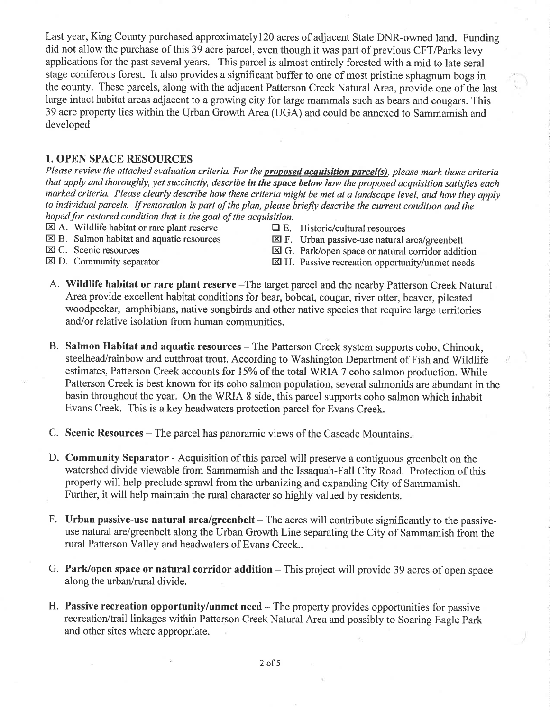Last year, King County purchased approximatelyl2} acres of adjacent State DNR-owned land. Funding did not allow the purchase of this 39 acre parcel, even though it was part of previous CFT/Parks levy applications for the past several years. This parcel is almost entirely forested with a mid to late seral stage coniferous forest. It also provides a significant buffer to one of most pristine sphagnum bogs in the county. These parcels, along with the adjacent Patterson Creek Natural Area, provide one of the last large intact habitat areas adjacent to a growing city for large mammals such as bears and cougars. This 39 acre property lies within the Urban Growth Area (UGA) and could be annexed to Sammamish and developed

#### 1. OPEN SPACE RESOURCES

Please review the attached evaluation criteria. For the **proposed acquisition parcel(s)**, please mark those criteria that apply and thoroughly, yet succinctly, describe in the space below how the proposed acquisition satisfies each marked criteria. Please clearly describe how these criteria might be met at a landscape level, and how they apply to individual parcels. If restoration is part of the plan, please briefly describe the current condition and the hoped for restored condition that is the goal of the acquisition.

- $\boxtimes$  A. Wildlife habitat or rare plant reserve  $\Box$  E. Historic/cultural resources  $\boxtimes$  B. Salmon habitat and aquatic resources  $\boxtimes$  F. Urban passive-use natural is
- 
- 
- $\boxtimes$  B. Salmon habitat and aquatic resources  $\boxtimes$  F. Urban passive-use natural area/greenbelt<br> $\boxtimes$  C. Scenic resources  $\boxtimes$  G. Park/open space or natural corridor additional
- E C. Scenic resources<br>

E G. Park/open space or natural corridor addition<br>

E G. Park/open space or natural corridor addition<br>

E H. Passive recreation opportunity/unmet needs
	- $\boxtimes$  H. Passive recreation opportunity/unmet needs
- A. Wildlife habitat or rare plant reserve -The target parcel and the nearby Patterson Creek Natural Area provide excellent habitat conditions for bear, bobcat, cougar, river otter, beaver, pileated woodpecker, amphibians, native songbirds and other native species that require large territories and/or relative isolation from human communities.
- B. Salmon Habitat and aquatic resources The Patterson Creek system supports coho, Chinook, steelhead/rainbow and cutthroat trout. According to Washington Department of Fish and Wildlife estimates, Patterson Creek accounts for l5%o of the total WRIA 7 coho salmon production. While Patterson Creek is best known for its coho salmon population, several salmonids are abundant in the basin throughout the year. On the V/RIA 8 side, this parcel supports coho salmon which inhabit Evans Creek. This is a key headwaters protection parcel for Evans Creek.
- C. Scenic Resources The parcel has panoramic views of the Cascade Mountains
- D. Community Separator Acquisition of this parcel will preserve a contiguous greenbelt on the watershed divide viewable from Sammamish and the Issaquah-Fall City Road. Protection of this property will help preclude sprawl from the urbanizing and expanding City of Sammamish. Further, it will help maintain the rural character so highly valued by residents.
- F. Urban passive-use natural area/greenbelt The acres will contribute significantly to the passiveuse natural are/greenbelt along the Urban Growth Line separating the City of Sammamish from the rural Patterson Valley and headwaters of Evans Creek..
- G. Park/open space or natural corridor addition This project will provide 39 acres of open space along the urban/rural divide.
- H. Passive recreation opportunity/unmet need The property provides opportunities for passive recreation/trail linkages within Patterson Creek Natural Area and possibly to Soaring Eagle Park and other sites where appropriate.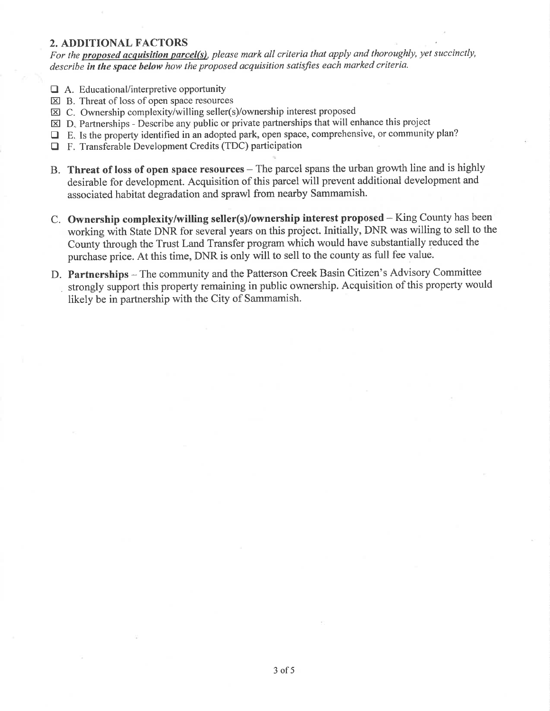#### 2. ADDITIONAL FACTORS

For the proposed acquisition parcel(s), please mark all criteria that apply and thoroughly, yet succinctly, describe in the space below how the proposed acquisition satisfies each marked criteria.

- $\Box$  A. Educational/interpretive opportunity
- $\overline{\boxtimes}$  B. Threat of loss of open space resources
- El C. Ownership complexity/willing seller(s)/ownership interest proposed
- $\boxtimes$  D. Partnerships Describe any public or private partnerships that will enhance this project
- DE. Is the property identified in an adopted park, open space, comprehensive, or community plan?
- $\Box$  F. Transferable Development Credits (TDC) participation
- B. Threat of loss of open space resources The parcel spans the urban growth line and is highly desirable for development. Acquisition of this parcel will prevent additional development and associated habitat degradation and sprawl from nearby Sammamish.
- C. Ownership complexity/witling seller(s)/ownership interest proposed King County has been working with State DNR for several years on this project. Initially, DNR was willing to sell to the County through the Trust Land Transfer program which would have substantially reduced the purchase price. At this time, DNR is only will to sell to the county as full fee value.
- D. Partnerships The community and the Patterson Creek Basin Citizen's Advisory Committee strongly support this property remaining in public ownership. Acquisition of this property would likely be in partnership with the City of Sammamish.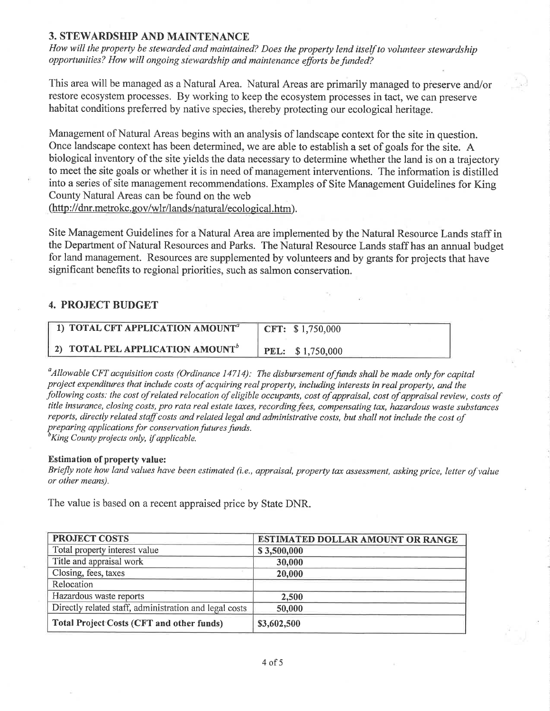#### 3. STEWARDSHIP AND MAINTENANCE

How will the property be stewarded and maintained? Does the property lend itself to volunteer stewardship opporlunities? How will ongoing stewardship and maintenance efforts befunded?

This area will be managed as a Natural Area. Natural Areas are primarily managed to preserve and/or restore ecosystem processes. By working to keep the ecosystem processes in tact, we can preserve habitat conditions preferred by native species, thereby protecting our ecological heritage.

Management of Natural Areas begins with an analysis of landscape context for the site in question. Once landscape context has been determined, we are able to establish a set of goals for the site. A biological inventory of the site yields the data necessary to determine whether the land is on a trajectory to meet the site goals or whether it is in need of management interventions. The information is distilled into a series of site management recommendations. Examples of Site Management Guidelines for King County Natural Areas can be found on the web (http://dnr.metrokc.gov/wlr/lands/natural/ecological.htm).

Site Management Guidelines for a Natural Area are implemented by the Natural Resource Lands staff in the Department of Natural Resources and Parks. The Natural Resource Lands staff has an annual budget for land management. Resources are supplemented by volunteers and by grants for projects that have significant benefits to regional priorities, such as salmon conservation.

#### 4. PROJECT BUDGET

| 1) TOTAL CFT APPLICATION AMOUNT <sup>a</sup>        | CFT: $$1,750,000$ |
|-----------------------------------------------------|-------------------|
| <b>2) TOTAL PEL APPLICATION AMOUNT</b> <sup>b</sup> | PEL: \$1,750,000  |

 $\alpha<sup>a</sup>$ Allowable CFT acquisition costs (Ordinance 14714): The disbursement of funds shall be made only for capital project expenditures that include costs of acquiring real property, including interests in real property, and the following costs: the cost of related relocation of eligible occupants, cost of appraisal, cost of appraisal review, costs of title insurance, closing costs, pro rata real estate taxes, recording fees, compensating tax, hazardous wasle substances reports, directly related staff costs and related legal and administrative costs, but shall not include the cost of preparing applications for conservation futures funds.<br><sup>b</sup>King County projects only, if applicable.

#### Estimation of property value:

Briefly note how land values have been estimated (i.e., appraísal, property tax assessment, asking price, letter of value or other means).

The value is based on a recent appraised price by State DNR.

| <b>PROJECT COSTS</b>                                   | ESTIMATED DOLLAR AMOUNT OR RANGE |  |
|--------------------------------------------------------|----------------------------------|--|
| Total property interest value                          | \$3,500,000                      |  |
| Title and appraisal work                               | 30,000                           |  |
| Closing, fees, taxes                                   | 20,000                           |  |
| Relocation                                             |                                  |  |
| Hazardous waste reports                                | 2,500                            |  |
| Directly related staff, administration and legal costs | 50,000                           |  |
| <b>Total Project Costs (CFT and other funds)</b>       | \$3,602,500                      |  |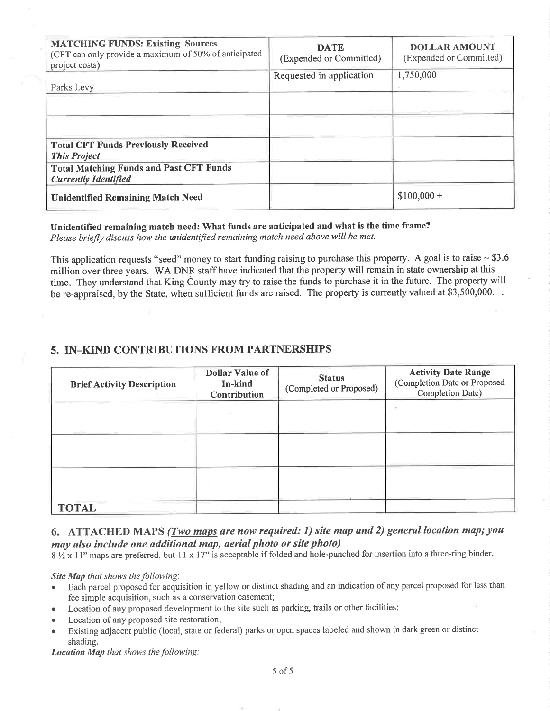| <b>MATCHING FUNDS: Existing Sources</b><br>(CFT can only provide a maximum of 50% of anticipated<br>project costs) | <b>DATE</b><br>(Expended or Committed) | <b>DOLLAR AMOUNT</b><br>(Expended or Committed) |
|--------------------------------------------------------------------------------------------------------------------|----------------------------------------|-------------------------------------------------|
| Parks Levy                                                                                                         | Requested in application               | 1,750,000                                       |
|                                                                                                                    |                                        |                                                 |
|                                                                                                                    |                                        |                                                 |
| <b>Total CFT Funds Previously Received</b><br><b>This Project</b>                                                  |                                        |                                                 |
| <b>Total Matching Funds and Past CFT Funds</b><br><b>Currently Identified</b>                                      |                                        |                                                 |
| <b>Unidentified Remaining Match Need</b>                                                                           |                                        | $$100,000 +$                                    |

#### Unidentified remaining match need: What funds are anticipated and what is the time frame? Please briefly discuss how the unidentified remaining match need above will be met.

This application requests "seed" money to start funding raising to purchase this property. A goal is to raise  $\sim$  \$3.6 million over three years. WA DNR staff have indicated that the property will remain in state ownership at this time. They understand that King County may try to raise the funds to purchase it in the future. The property will be re-appraised, by the State, when sufficient funds are raised. The property is currently valued at \$3,500,000.

### 5. IN\_KIND CONTRIBUTIONS FROM PARTNERSHIPS

| <b>Brief Activity Description</b> | <b>Dollar Value of</b><br>In-kind<br>Contribution | <b>Status</b><br>(Completed or Proposed) | <b>Activity Date Range</b><br>(Completion Date or Proposed<br>Completion Date) |
|-----------------------------------|---------------------------------------------------|------------------------------------------|--------------------------------------------------------------------------------|
|                                   |                                                   |                                          |                                                                                |
|                                   |                                                   |                                          |                                                                                |
|                                   |                                                   |                                          |                                                                                |
| <b>TOTAL</b>                      |                                                   |                                          |                                                                                |

### 6. ATTACHED MAPS (Two maps are now required: 1) site map and 2) general location map; you may also include one additional map, aerial photo or site photo)

 $8\frac{1}{2}$  x 11" maps are preferred, but 11 x 17" is acceptable if folded and hole-punched for insertion into a three-ring binder.

Site Map that shows the following:

- Each parcel proposed for acquisition in yellow or distinct shading and an indication of any parcel proposed for less than fee simple acquisition, such as a conservation easement;
- Location of any proposed development to the site such as parking, trails or other facilities;
- Location of any proposed site restoration;
- Existing adjacent public (local, state or federal) parks or open spaces labeled and shown in dark green or distinct shading.

Location Map that shows the following: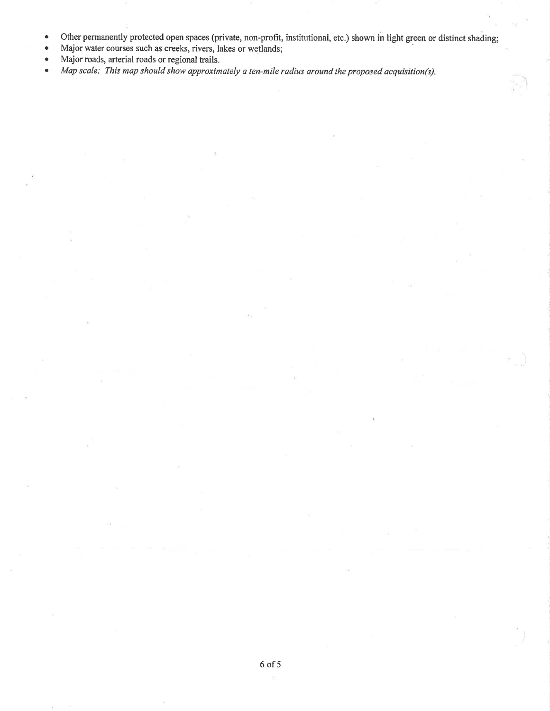- o Other permanently protected open spaces (private, non-profit, institutional, etc.) shown in light green or distinct shading;
- Major water courses such as creeks, rivers, lakes or wetlands;
- . Major roads, arterial roads or regional trails.
- Map scale: This map should show approximately a ten-mile radius around the proposed acquisition(s).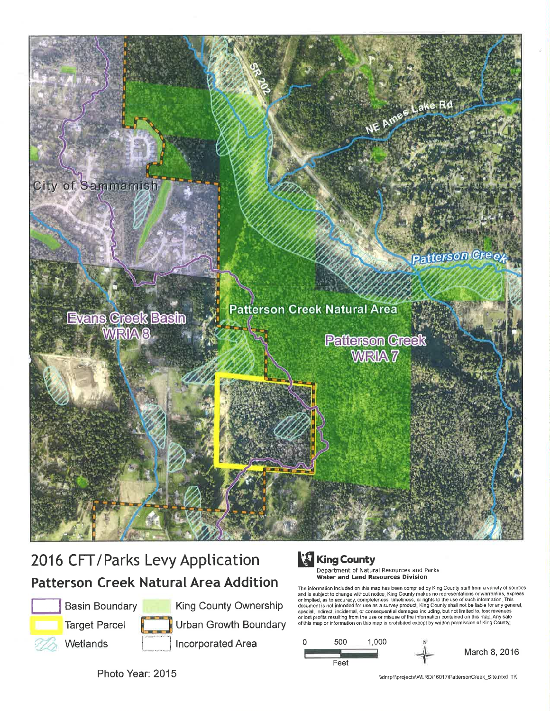

## 2016 CFT/Parks Levy Application Patterson Creek Natural Area Addition



Basin Boundary

Target Parcel



King County Ownership Urban Growth Boundary , Wetlands i \_.'llncorporatedArea

# **King County**

Department of Natural Resources and Parks<br>**Water and Land Resources Division** 

The information included on this map has been compiled by King County staff from a variety of sources and is subject to change without notice. King County makes no representations or warranties, expresentations,<br>or implied, as to accuracy, completeness, timeliness, cr rights to the use of such information. This<br>document is



Photo Year: 2015

\\dnrpl\projects\VvlRD\1601 7\Pattersoncreek\_Site mxd TK